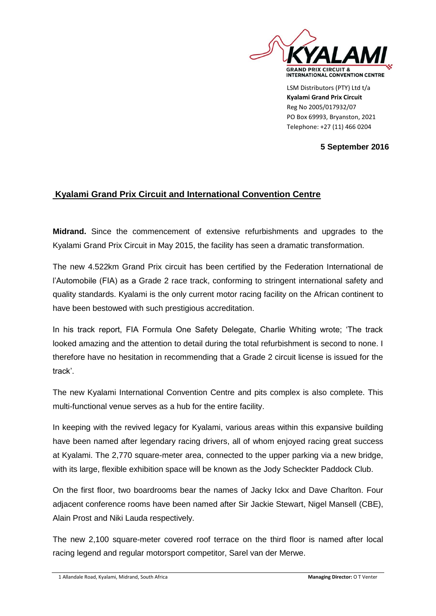

LSM Distributors (PTY) Ltd t/a **Kyalami Grand Prix Circuit** Reg No 2005/017932/07 PO Box 69993, Bryanston, 2021 Telephone: +27 (11) 466 0204

## **5 September 2016**

## **Kyalami Grand Prix Circuit and International Convention Centre**

**Midrand.** Since the commencement of extensive refurbishments and upgrades to the Kyalami Grand Prix Circuit in May 2015, the facility has seen a dramatic transformation.

The new 4.522km Grand Prix circuit has been certified by the Federation International de l'Automobile (FIA) as a Grade 2 race track, conforming to stringent international safety and quality standards. Kyalami is the only current motor racing facility on the African continent to have been bestowed with such prestigious accreditation.

In his track report, FIA Formula One Safety Delegate, Charlie Whiting wrote; 'The track looked amazing and the attention to detail during the total refurbishment is second to none. I therefore have no hesitation in recommending that a Grade 2 circuit license is issued for the track'.

The new Kyalami International Convention Centre and pits complex is also complete. This multi-functional venue serves as a hub for the entire facility.

In keeping with the revived legacy for Kyalami, various areas within this expansive building have been named after legendary racing drivers, all of whom enjoyed racing great success at Kyalami. The 2,770 square-meter area, connected to the upper parking via a new bridge, with its large, flexible exhibition space will be known as the Jody Scheckter Paddock Club.

On the first floor, two boardrooms bear the names of Jacky Ickx and Dave Charlton. Four adjacent conference rooms have been named after Sir Jackie Stewart, Nigel Mansell (CBE), Alain Prost and Niki Lauda respectively.

The new 2,100 square-meter covered roof terrace on the third floor is named after local racing legend and regular motorsport competitor, Sarel van der Merwe.